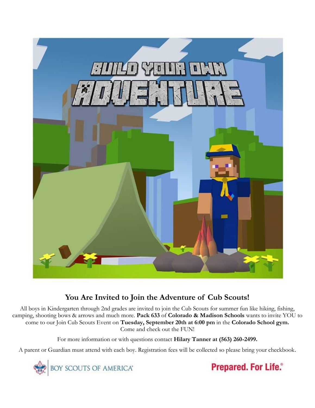

# **You Are Invited to Join the Adventure of Cub Scouts!**

All boys in Kindergarten through 2nd grades are invited to join the Cub Scouts for summer fun like hiking, fishing, camping, shooting bows & arrows and much more. **Pack 633** of **Colorado & Madison Schools** wants to invite YOU to come to our Join Cub Scouts Event on **Tuesday, September 20th at 6:00 pm** in the **Colorado School gym.** Come and check out the FUN!

For more information or with questions contact **Hilary Tanner at (563) 260-2499.**

A parent or Guardian must attend with each boy. Registration fees will be collected so please bring your checkbook.